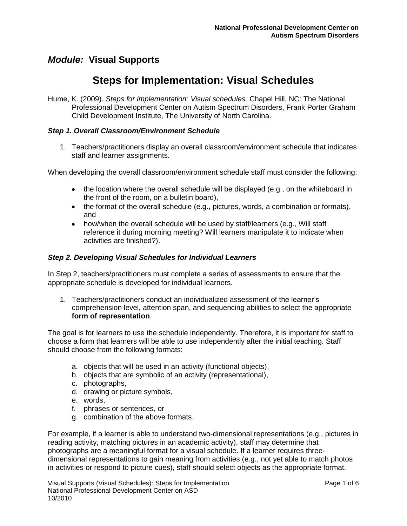# **Steps for Implementation: Visual Schedules**

Hume, K. (2009). *Steps for implementation: Visual schedules.* Chapel Hill, NC: The National Professional Development Center on Autism Spectrum Disorders, Frank Porter Graham Child Development Institute, The University of North Carolina.

#### *Step 1. Overall Classroom/Environment Schedule*

1. Teachers/practitioners display an overall classroom/environment schedule that indicates staff and learner assignments.

When developing the overall classroom/environment schedule staff must consider the following:

- $\bullet$  the location where the overall schedule will be displayed (e.g., on the whiteboard in the front of the room, on a bulletin board),
- the format of the overall schedule (e.g., pictures, words, a combination or formats), and
- how/when the overall schedule will be used by staff/learners (e.g., Will staff reference it during morning meeting? Will learners manipulate it to indicate when activities are finished?).

#### *Step 2. Developing Visual Schedules for Individual Learners*

In Step 2, teachers/practitioners must complete a series of assessments to ensure that the appropriate schedule is developed for individual learners.

1. Teachers/practitioners conduct an individualized assessment of the learner's comprehension level, attention span, and sequencing abilities to select the appropriate **form of representation**.

The goal is for learners to use the schedule independently. Therefore, it is important for staff to choose a form that learners will be able to use independently after the initial teaching. Staff should choose from the following formats:

- a. objects that will be used in an activity (functional objects),
- b. objects that are symbolic of an activity (representational),
- c. photographs,
- d. drawing or picture symbols,
- e. words,
- f. phrases or sentences, or
- g. combination of the above formats.

For example, if a learner is able to understand two-dimensional representations (e.g., pictures in reading activity, matching pictures in an academic activity), staff may determine that photographs are a meaningful format for a visual schedule. If a learner requires threedimensional representations to gain meaning from activities (e.g., not yet able to match photos in activities or respond to picture cues), staff should select objects as the appropriate format.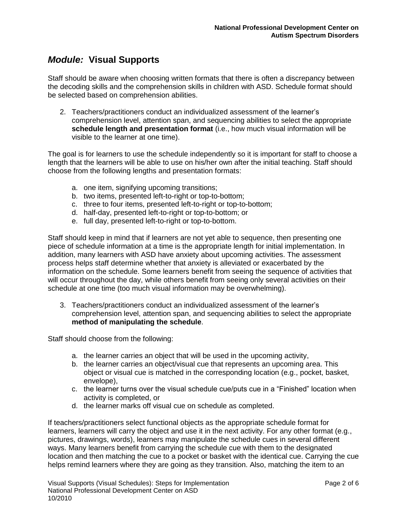Staff should be aware when choosing written formats that there is often a discrepancy between the decoding skills and the comprehension skills in children with ASD. Schedule format should be selected based on comprehension abilities.

2. Teachers/practitioners conduct an individualized assessment of the learner's comprehension level, attention span, and sequencing abilities to select the appropriate **schedule length and presentation format** (i.e., how much visual information will be visible to the learner at one time).

The goal is for learners to use the schedule independently so it is important for staff to choose a length that the learners will be able to use on his/her own after the initial teaching. Staff should choose from the following lengths and presentation formats:

- a. one item, signifying upcoming transitions;
- b. two items, presented left-to-right or top-to-bottom;
- c. three to four items, presented left-to-right or top-to-bottom;
- d. half-day, presented left-to-right or top-to-bottom; or
- e. full day, presented left-to-right or top-to-bottom.

Staff should keep in mind that if learners are not yet able to sequence, then presenting one piece of schedule information at a time is the appropriate length for initial implementation. In addition, many learners with ASD have anxiety about upcoming activities. The assessment process helps staff determine whether that anxiety is alleviated or exacerbated by the information on the schedule. Some learners benefit from seeing the sequence of activities that will occur throughout the day, while others benefit from seeing only several activities on their schedule at one time (too much visual information may be overwhelming).

3. Teachers/practitioners conduct an individualized assessment of the learner's comprehension level, attention span, and sequencing abilities to select the appropriate **method of manipulating the schedule**.

Staff should choose from the following:

- a. the learner carries an object that will be used in the upcoming activity,
- b. the learner carries an object/visual cue that represents an upcoming area. This object or visual cue is matched in the corresponding location (e.g., pocket, basket, envelope),
- c. the learner turns over the visual schedule cue/puts cue in a "Finished" location when activity is completed, or
- d. the learner marks off visual cue on schedule as completed.

If teachers/practitioners select functional objects as the appropriate schedule format for learners, learners will carry the object and use it in the next activity. For any other format (e.g., pictures, drawings, words), learners may manipulate the schedule cues in several different ways. Many learners benefit from carrying the schedule cue with them to the designated location and then matching the cue to a pocket or basket with the identical cue. Carrying the cue helps remind learners where they are going as they transition. Also, matching the item to an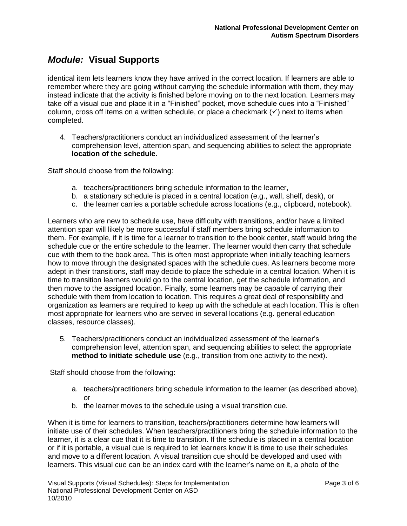identical item lets learners know they have arrived in the correct location. If learners are able to remember where they are going without carrying the schedule information with them, they may instead indicate that the activity is finished before moving on to the next location. Learners may take off a visual cue and place it in a "Finished" pocket, move schedule cues into a "Finished" column, cross off items on a written schedule, or place a checkmark  $(v)$  next to items when completed.

4. Teachers/practitioners conduct an individualized assessment of the learner's comprehension level, attention span, and sequencing abilities to select the appropriate **location of the schedule**.

Staff should choose from the following:

- a. teachers/practitioners bring schedule information to the learner,
- b. a stationary schedule is placed in a central location (e.g., wall, shelf, desk), or
- c. the learner carries a portable schedule across locations (e.g., clipboard, notebook).

Learners who are new to schedule use, have difficulty with transitions, and/or have a limited attention span will likely be more successful if staff members bring schedule information to them. For example, if it is time for a learner to transition to the book center, staff would bring the schedule cue or the entire schedule to the learner. The learner would then carry that schedule cue with them to the book area. This is often most appropriate when initially teaching learners how to move through the designated spaces with the schedule cues. As learners become more adept in their transitions, staff may decide to place the schedule in a central location. When it is time to transition learners would go to the central location, get the schedule information, and then move to the assigned location. Finally, some learners may be capable of carrying their schedule with them from location to location. This requires a great deal of responsibility and organization as learners are required to keep up with the schedule at each location. This is often most appropriate for learners who are served in several locations (e.g. general education classes, resource classes).

5. Teachers/practitioners conduct an individualized assessment of the learner's comprehension level, attention span, and sequencing abilities to select the appropriate **method to initiate schedule use** (e.g., transition from one activity to the next).

Staff should choose from the following:

- a. teachers/practitioners bring schedule information to the learner (as described above), or
- b. the learner moves to the schedule using a visual transition cue.

When it is time for learners to transition, teachers/practitioners determine how learners will initiate use of their schedules. When teachers/practitioners bring the schedule information to the learner, it is a clear cue that it is time to transition. If the schedule is placed in a central location or if it is portable, a visual cue is required to let learners know it is time to use their schedules and move to a different location. A visual transition cue should be developed and used with learners. This visual cue can be an index card with the learner's name on it, a photo of the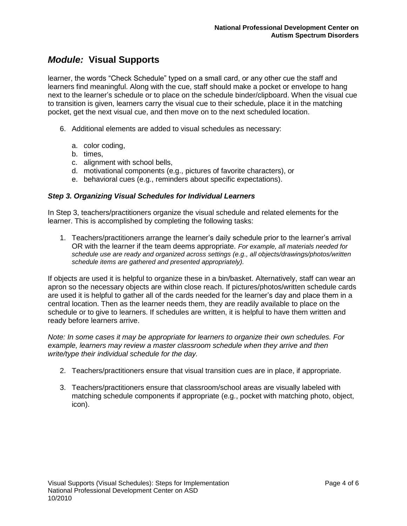learner, the words "Check Schedule" typed on a small card, or any other cue the staff and learners find meaningful. Along with the cue, staff should make a pocket or envelope to hang next to the learner's schedule or to place on the schedule binder/clipboard. When the visual cue to transition is given, learners carry the visual cue to their schedule, place it in the matching pocket, get the next visual cue, and then move on to the next scheduled location.

- 6. Additional elements are added to visual schedules as necessary:
	- a. color coding,
	- b. times,
	- c. alignment with school bells,
	- d. motivational components (e.g., pictures of favorite characters), or
	- e. behavioral cues (e.g., reminders about specific expectations).

#### *Step 3. Organizing Visual Schedules for Individual Learners*

In Step 3, teachers/practitioners organize the visual schedule and related elements for the learner. This is accomplished by completing the following tasks:

1. Teachers/practitioners arrange the learner's daily schedule prior to the learner's arrival OR with the learner if the team deems appropriate. *For example, all materials needed for schedule use are ready and organized across settings (e.g., all objects/drawings/photos/written schedule items are gathered and presented appropriately).*

If objects are used it is helpful to organize these in a bin/basket. Alternatively, staff can wear an apron so the necessary objects are within close reach. If pictures/photos/written schedule cards are used it is helpful to gather all of the cards needed for the learner's day and place them in a central location. Then as the learner needs them, they are readily available to place on the schedule or to give to learners. If schedules are written, it is helpful to have them written and ready before learners arrive.

*Note: In some cases it may be appropriate for learners to organize their own schedules. For example, learners may review a master classroom schedule when they arrive and then write/type their individual schedule for the day.*

- 2. Teachers/practitioners ensure that visual transition cues are in place, if appropriate.
- 3. Teachers/practitioners ensure that classroom/school areas are visually labeled with matching schedule components if appropriate (e.g., pocket with matching photo, object, icon).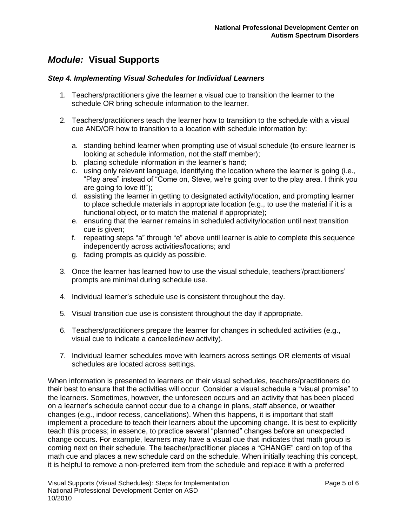#### *Step 4. Implementing Visual Schedules for Individual Learners*

- 1. Teachers/practitioners give the learner a visual cue to transition the learner to the schedule OR bring schedule information to the learner.
- 2. Teachers/practitioners teach the learner how to transition to the schedule with a visual cue AND/OR how to transition to a location with schedule information by:
	- a. standing behind learner when prompting use of visual schedule (to ensure learner is looking at schedule information, not the staff member);
	- b. placing schedule information in the learner's hand;
	- c. using only relevant language, identifying the location where the learner is going (i.e., "Play area" instead of "Come on, Steve, we're going over to the play area. I think you are going to love it!");
	- d. assisting the learner in getting to designated activity/location, and prompting learner to place schedule materials in appropriate location (e.g., to use the material if it is a functional object, or to match the material if appropriate);
	- e. ensuring that the learner remains in scheduled activity/location until next transition cue is given;
	- f. repeating steps "a" through "e" above until learner is able to complete this sequence independently across activities/locations; and
	- g. fading prompts as quickly as possible.
- 3. Once the learner has learned how to use the visual schedule, teachers'/practitioners' prompts are minimal during schedule use.
- 4. Individual learner's schedule use is consistent throughout the day.
- 5. Visual transition cue use is consistent throughout the day if appropriate.
- 6. Teachers/practitioners prepare the learner for changes in scheduled activities (e.g., visual cue to indicate a cancelled/new activity).
- 7. Individual learner schedules move with learners across settings OR elements of visual schedules are located across settings.

When information is presented to learners on their visual schedules, teachers/practitioners do their best to ensure that the activities will occur. Consider a visual schedule a "visual promise" to the learners. Sometimes, however, the unforeseen occurs and an activity that has been placed on a learner's schedule cannot occur due to a change in plans, staff absence, or weather changes (e.g., indoor recess, cancellations). When this happens, it is important that staff implement a procedure to teach their learners about the upcoming change. It is best to explicitly teach this process; in essence, to practice several "planned" changes before an unexpected change occurs. For example, learners may have a visual cue that indicates that math group is coming next on their schedule. The teacher/practitioner places a "CHANGE" card on top of the math cue and places a new schedule card on the schedule. When initially teaching this concept, it is helpful to remove a non-preferred item from the schedule and replace it with a preferred